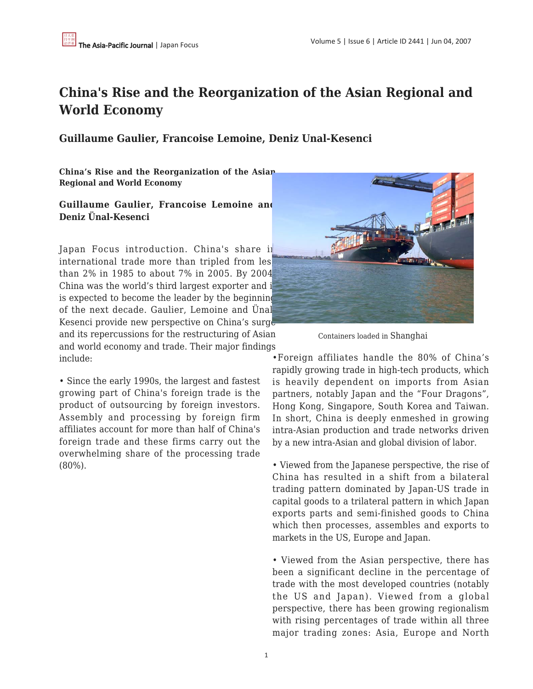## **China's Rise and the Reorganization of the Asian Regional and World Economy**

**Guillaume Gaulier, Francoise Lemoine, Deniz Unal-Kesenci**

**China's Rise and the Reorganization of the Asian Regional and World Economy**

## **Guillaume Gaulier, Francoise Lemoine and Deniz Ünal-Kesenci**

Japan Focus introduction. China's share in international trade more than tripled from les than 2% in 1985 to about 7% in 2005. By 2004, China was the world's third largest exporter and it is expected to become the leader by the beginning of the next decade. Gaulier, Lemoine and Ünal-Kesenci provide new perspective on China's surge and its repercussions for the restructuring of Asian and world economy and trade. Their major findings include:

• Since the early 1990s, the largest and fastest growing part of China's foreign trade is the product of outsourcing by foreign investors. Assembly and processing by foreign firm affiliates account for more than half of China's foreign trade and these firms carry out the overwhelming share of the processing trade (80%).



Containers loaded in Shanghai

•Foreign affiliates handle the 80% of China's rapidly growing trade in high-tech products, which is heavily dependent on imports from Asian partners, notably Japan and the "Four Dragons", Hong Kong, Singapore, South Korea and Taiwan. In short, China is deeply enmeshed in growing intra-Asian production and trade networks driven by a new intra-Asian and global division of labor.

• Viewed from the Japanese perspective, the rise of China has resulted in a shift from a bilateral trading pattern dominated by Japan-US trade in capital goods to a trilateral pattern in which Japan exports parts and semi-finished goods to China which then processes, assembles and exports to markets in the US, Europe and Japan.

• Viewed from the Asian perspective, there has been a significant decline in the percentage of trade with the most developed countries (notably the US and Japan). Viewed from a global perspective, there has been growing regionalism with rising percentages of trade within all three major trading zones: Asia, Europe and North